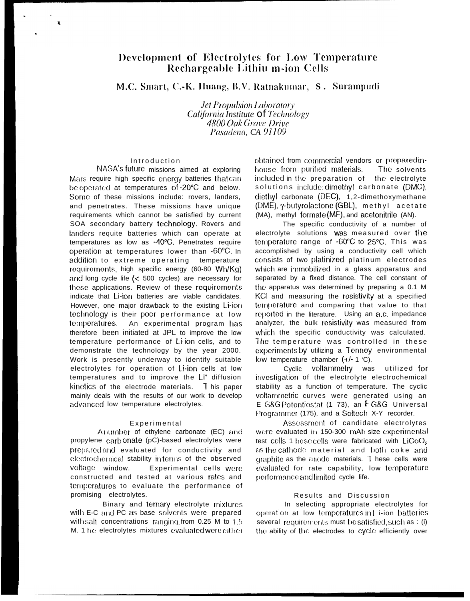# Development of Electrolytes for Low Temperature Rechargeable Lithiu m-ion Cells

M.C. Smart, C.-K. Huang, B.V. Ratnakumar, S. Surampudi

**Jet Propulsion Laboratory** California Institute Of Technology 4800 Oak Grove Drive Pasadena, CA 91109

### Introduction

 $\mathbf{a}$ 

NASA's future missions aimed at exploring Mars require high specific energy batteries that can be operated at temperatures of -20°C and below. Some of these missions include: rovers, landers, and penetrates. These missions have unique requirements which cannot be satisfied by current SOA secondary battery technology. Rovers and landers requite batteries which can operate at temperatures as low as -40°C. Penetrates require operation at temperatures lower than -60°C. In addition to extreme operating temperature requirements, high specific energy (60-80 Wh/Kg) and long cycle life  $\left( < 500 \right)$  cycles) are necessary for these applications. Review of these requirements indicate that Li-ion batteries are viable candidates. However, one major drawback to the existing Li-ion technology is their poor performance at low temperatures. An experimental program has therefore been initiated at JPL to improve the low temperature performance of Li-ion cells, and to demonstrate the technology by the year 2000. Work is presently underway to identify suitable electrolytes for operation of Li-ion cells at low temperatures and to improve the Li<sup>+</sup> diffusion kinetics of the electrode materials. This paper mainly deals with the results of our work to develop advanced low temperature electrolytes.

#### Experimental

Anumber of ethylene carbonate (EC) and propylene carbonate (pC)-based electrolytes were prepared and evaluated for conductivity and electrochemical stability interms of the observed voltage window. Experimental cells were constructed and tested at various rates and temperatures to evaluate the performance of promising electrolytes.

Binary and ternary electrolyte mixtures with E-C and PC as base solvents were prepared with salt concentrations ranging from 0.25 M to 1.5 M. 1 he electrolytes mixtures evaluated were either obtained from commercial vendors or prepared inhouse from purified materials. The solvents included in the preparation of the electrolyte solutions include: dimethyl carbonate (DMC), diethyl carbonate (DEC), 1,2-dimethoxymethane (DME), γ-butyrolactone (GBL), methyl acetate (MA), methyl formate (MF), and acetonitrile (AN).

The specific conductivity of a number of electrolyte solutions Was measured over the temperature range of -60°C to 25°C. This was accomplished by using a conductivity cell which consists of two platinized platinum electrodes which are immobilized in a glass apparatus and separated by a fixed distance. The cell constant of the apparatus was determined by preparing a 0.1 M KCI and measuring the resistivity at a specified temperature and comparing that value to that reported in the literature. Using an a.c. impedance analyzer, the bulk resistivity was measured from which the specific conductivity was calculated. The temperature was controlled in these experiments by utilizing a Tenney environmental low temperature chamber (+/- 1 °C).

Cyclic voltammetry was utilized for investigation of the electrolyte electrochemical stability as a function of temperature. The cyclic voltammetric curves were generated using an E G&G Potentiostat (1 73), an E G&G Universal Programmer (175), and a Soltech X-Y recorder.

Assessment of candidate electrolytes were evaluated in 150-300 mAh size experimental test cells 1 hese cells were fabricated with LiCoO<sub>2</sub> as the cathodel material and both coke and graphite as the anode materials. These cells were evaluated for rate capability, low temperature performance and limited cycle life.

## Results and Discussion

In selecting appropriate electrolytes for operation at low temperatures in Li-ion batteries several requirements must be satisfied such as : (i) the ability of the electrodes to cycle efficiently over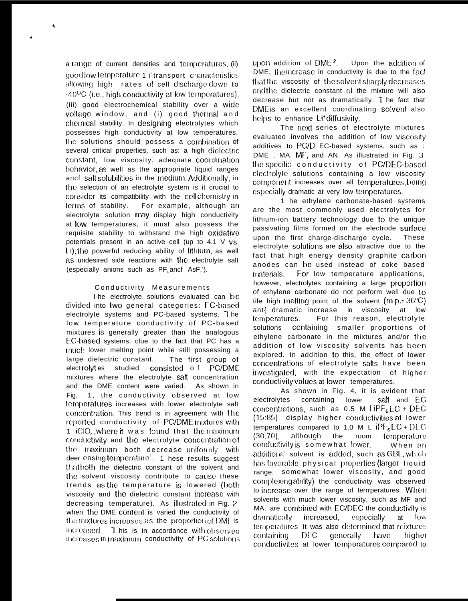a range of current densities and temperatures. (ii) good low temperature 1 it ransport characteristics allowing high rates of cell discharge down to -40<sup>o</sup>C (i.e., high conductivity at low temperatures). (iii) good electrochemical stability over a wide voltage window, and (i) good thermal and chemical stability. In designing electrolytes which possesses high conductivity at low temperatures, the solutions should possess a combination of several critical properties, such as: a high dielectric constant, low viscosity, adequate coordination behavior as well as the appropriate liquid ranges ancf salt solubilities in the medium. Additionally, in the selection of an electrolyte system is it crucial to consider its compatibility with the cell chemistry in For example, although an terms of stability. electrolyte solution may display high conductivity at low temperatures, it must also possess the requisite stability to withstand the high oxidative potentials present in an active cell (up to 4.1 V vs. Li), the powerful reducing ability of lithium, as well as undesired side reactions with the electrolyte salt (especially anions such as PF ancf AsF,').

#### Conductivity Measurements

I-he electrolyte solutions evaluated can be divided into two general categories: EC-based electrolyte systems and PC-based systems. The low temperature conductivity of PC-based mixtures is generally greater than the analogous EC-based systems, cfue to the fact that PC has a much lower melting point while still possessing a large dielectric constant. The first group of elect rolytes studied consisted of PC/DME mixtures where the electrolyte salt concentration and the DME content were varied. As shown in Fig. 1, the conductivity observed at low temperatures increases with lower electrolyte salt concentration. This trend is in agreement with the reported conductivity of PC/DME mixtures with 1 iClO<sub>4</sub>, where it was found that the maximum conductivity and the electrolyte concentration of the maximum both decrease uniformly with deer easing temperature<sup>1</sup>. 1 hese results suggest that both the dielectric constant of the solvent and the solvent viscosity contribute to cause these trends as the temperature is lowered (both viscosity and the dielectric constant increase with decreasing temperature). As illustrated in Fig. 2. when the DME content is varied the conductivity of the mixtures increases as the proportion of DME is increased T his is in accordance with observed increases in maximum conductivity of PC solutions

upon addition of  $DME<sup>2</sup>$  Upon the addition of DME, the increase in conductivity is due to the fact that the viscosity of the solvent sharply decreases and the dielectric constant of the mixture will also decrease but not as dramatically. I he fact that DME is an excellent coordinating solvent also helps to enhance Li'diffusivity.

The next series of electrolyte mixtures evaluated involves the addition of low viscosity additives to PC/D EC-based systems, such as : DME, MA, MF, and AN. As illustrated in Fig. 3. the specific conductivity of PC/DEC-based electrolyte solutions containing a low viscosity component increases over all temperatures being especially dramatic at very low temperatures.

1 he ethylene carbonate-based systems are the most commonly used electrolytes for lithium-ion battery technology due to the unique passivating films formed on the electrode surface upon the first charge-discharge cycle. These electrolyte solutions are also attractive due to the fact that high energy density graphite carbon anodes can be used instead of coke based For low temperature applications, materials. however, electrolytes containing a large proportion of ethylene carbonate do not perform well due to tile high melting point of the solvent (m.p.= 36°C) ant{ dramatic increase in viscosity at low temperatures. For this reason, electrolyte solutions containing smaller proportions of ethylene carbonate in the mixtures and/or the addition of low viscosity solvents has been explored. In addition to this, the effect of lower concentrations of electrolyte salts have been investigated, with the expectation of higher conductivity values at lower temperatures.

As shown in Fig. 4, it is evident that salt and EC electrolytes containing lower concentrations, such as  $0.5$  M LiPF<sub>6</sub> EC + DEC (15:85), display higher conductivities at lower temperatures compared to 1.0 M L  $IPF<sub>c</sub>EC + DEC$  $(30:70)$ , although the room temperature conductivity is somewhat lower. When an additional solvent is added, such as GBL, which has favorable physical properties (larger liquid range, somewhat lower viscosity, and good complexing ability) the conductivity was observed to increase over the range of terrrperatures. When solvents with much lower viscosity, such as MF and MA, are combined with EC/DEC the conductivity is dramatically increased. especially at **TOW** temperatures. It was also determined that mixtures generally DEC. containing have higher conductivites at lower temperatures compared to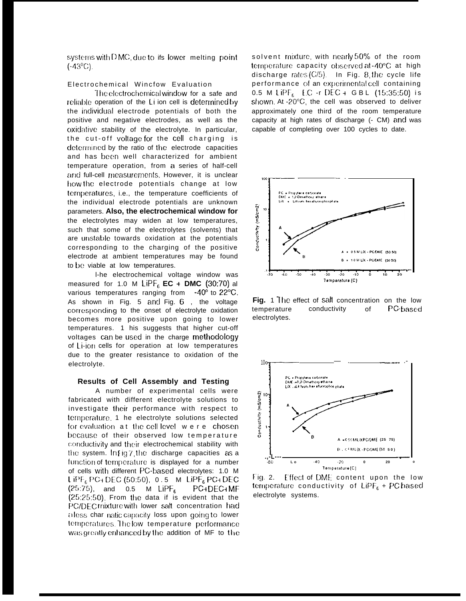systems with DMC, due to ifs lower melting point  $(.43^{\circ}C)$ .

## Electrochemical Wincfow Evaluation

The electrochemical window for a safe and reliable operation of the Li ion cell is determined by the individual electrode potentials of both the positive and negative electrodes, as well as the oxidative stability of the electrolyte. In particular, the cut-off voltage for the cell charging is determined by the ratio of the electrode capacities and has been well characterized for ambient temperature operation, from a series of half-cell and full-cell measurements. However, it is unclear how the electrode potentials change at low temperatures, i.e., the temperature coefficients of the individual electrode potentials are unknown parameters. Also, the electrochemical window for the electrolytes may widen at low temperatures, such that some of the electrolytes (solvents) that are unstable towards oxidation at the potentials corresponding to the charging of the positive electrode at ambient temperatures may be found to be viable at low temperatures.

I-he electrochemical voltage window was measured for 1.0 M LiPF<sub>6</sub> EC + DMC (30:70) al various temperatures ranging from -40° to 22°C. As shown in Fig. 5 and Fig. 6, the voltage corresponding to the onset of electrolyte oxidation becomes more positive upon going to lower temperatures. 1 his suggests that higher cut-off voltages can be used in the charge methodology of Li-ion cells for operation at low temperatures due to the greater resistance to oxidation of the electrolyte.

#### Results of Cell Assembly and Testing

A number of experimental cells were fabricated with different electrolyte solutions to investigate their performance with respect to temperature, 1 he electrolyte solutions selected for evaluation at the cell level were chosen because of their observed low temperature conductivity and their electrochemical stability with the system. In Fig.7 the discharge capacities as a function of temperature is displayed for a number of cells with different PC-based electrolytes: 1.0 M LIPF<sub>6</sub> PC<sub>1</sub> DEC (50:50), 0.5 M LIPF<sub>6</sub> PC<sub>1</sub> DEC  $(25:75)$ , and 0.5 M LiPF<sub>6</sub> PC+DEC+MF (25:25:50). From the data if is evident that the PC/DEC mixture with lower salt concentration had aless char natic capacity loss upon going to lower temperatures. The low temperature performance was greatly enhanced by the addition of MF to the solvent mixture, with nearly 50% of the room temperature capacity observed at -40°C at high discharge rates  $(C/5)$ . In Fig. 8, the cycle life performance of an experimental cell containing 0.5 M LiPF<sub>6</sub> EC-r DEC + GBL (15:35:50) is shown. At -20°C, the cell was observed to deliver approximately one third of the room temperature capacity at high rates of discharge (- CM) and was capable of completing over 100 cycles to date.



Fig. 1 The effect of salt concentration on the low temperature conductivity  $\Omega$ PC based electrolytes.



 $Fig. 2.$ Effect of DME content upon the low temperature conductivity of  $LIPF_6 + PC$  hased electrolyte systems.